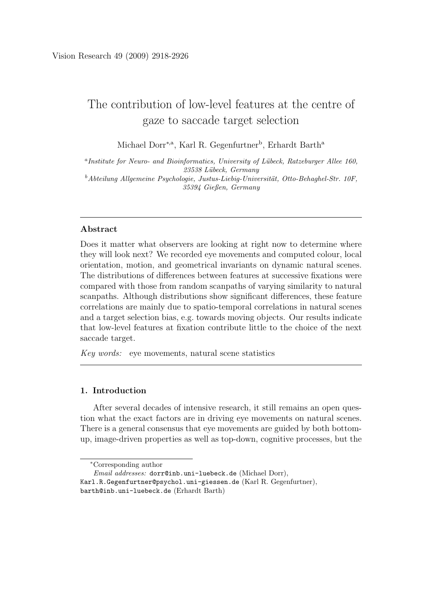# The contribution of low-level features at the centre of gaze to saccade target selection

Michael Dorr<sup>∗,a</sup>, Karl R. Gegenfurtner<sup>b</sup>, Erhardt Barth<sup>a</sup>

<sup>a</sup>Institute for Neuro- and Bioinformatics, University of Lübeck, Ratzeburger Allee 160, *23538 L¨ubeck, Germany* <sup>b</sup>Abteilung Allgemeine Psychologie, Justus-Liebig-Universität, Otto-Behaghel-Str. 10F, *35394 Gießen, Germany*

# Abstract

Does it matter what observers are looking at right now to determine where they will look next? We recorded eye movements and computed colour, local orientation, motion, and geometrical invariants on dynamic natural scenes. The distributions of differences between features at successive fixations were compared with those from random scanpaths of varying similarity to natural scanpaths. Although distributions show significant differences, these feature correlations are mainly due to spatio-temporal correlations in natural scenes and a target selection bias, e.g. towards moving objects. Our results indicate that low-level features at fixation contribute little to the choice of the next saccade target.

*Key words:* eye movements, natural scene statistics

# 1. Introduction

After several decades of intensive research, it still remains an open question what the exact factors are in driving eye movements on natural scenes. There is a general consensus that eye movements are guided by both bottomup, image-driven properties as well as top-down, cognitive processes, but the

<sup>∗</sup>Corresponding author

*Email addresses:* dorr@inb.uni-luebeck.de (Michael Dorr), Karl.R.Gegenfurtner@psychol.uni-giessen.de (Karl R. Gegenfurtner), barth@inb.uni-luebeck.de (Erhardt Barth)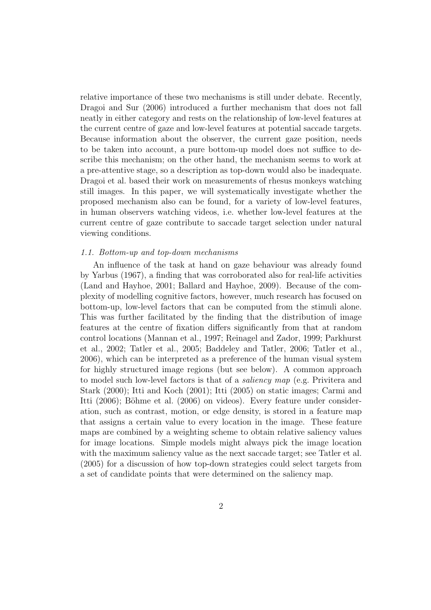relative importance of these two mechanisms is still under debate. Recently, Dragoi and Sur (2006) introduced a further mechanism that does not fall neatly in either category and rests on the relationship of low-level features at the current centre of gaze and low-level features at potential saccade targets. Because information about the observer, the current gaze position, needs to be taken into account, a pure bottom-up model does not suffice to describe this mechanism; on the other hand, the mechanism seems to work at a pre-attentive stage, so a description as top-down would also be inadequate. Dragoi et al. based their work on measurements of rhesus monkeys watching still images. In this paper, we will systematically investigate whether the proposed mechanism also can be found, for a variety of low-level features, in human observers watching videos, i.e. whether low-level features at the current centre of gaze contribute to saccade target selection under natural viewing conditions.

## *1.1. Bottom-up and top-down mechanisms*

An influence of the task at hand on gaze behaviour was already found by Yarbus (1967), a finding that was corroborated also for real-life activities (Land and Hayhoe, 2001; Ballard and Hayhoe, 2009). Because of the complexity of modelling cognitive factors, however, much research has focused on bottom-up, low-level factors that can be computed from the stimuli alone. This was further facilitated by the finding that the distribution of image features at the centre of fixation differs significantly from that at random control locations (Mannan et al., 1997; Reinagel and Zador, 1999; Parkhurst et al., 2002; Tatler et al., 2005; Baddeley and Tatler, 2006; Tatler et al., 2006), which can be interpreted as a preference of the human visual system for highly structured image regions (but see below). A common approach to model such low-level factors is that of a *saliency map* (e.g. Privitera and Stark (2000); Itti and Koch (2001); Itti (2005) on static images; Carmi and Itti (2006); Böhme et al. (2006) on videos). Every feature under consideration, such as contrast, motion, or edge density, is stored in a feature map that assigns a certain value to every location in the image. These feature maps are combined by a weighting scheme to obtain relative saliency values for image locations. Simple models might always pick the image location with the maximum saliency value as the next saccade target; see Tatler et al. (2005) for a discussion of how top-down strategies could select targets from a set of candidate points that were determined on the saliency map.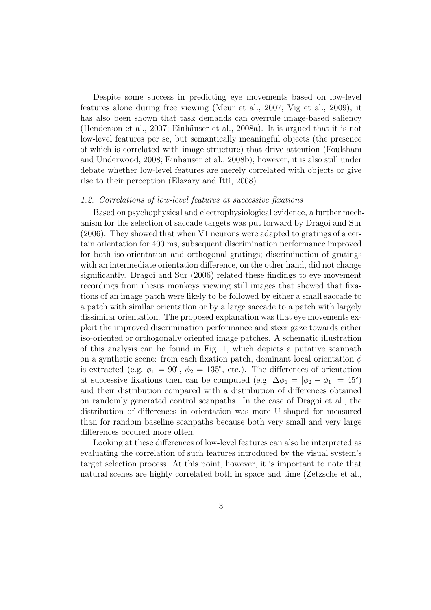Despite some success in predicting eye movements based on low-level features alone during free viewing (Meur et al., 2007; Vig et al., 2009), it has also been shown that task demands can overrule image-based saliency (Henderson et al., 2007; Einhäuser et al., 2008a). It is argued that it is not low-level features per se, but semantically meaningful objects (the presence of which is correlated with image structure) that drive attention (Foulsham and Underwood, 2008; Einhäuser et al., 2008b); however, it is also still under debate whether low-level features are merely correlated with objects or give rise to their perception (Elazary and Itti, 2008).

## *1.2. Correlations of low-level features at successive fixations*

Based on psychophysical and electrophysiological evidence, a further mechanism for the selection of saccade targets was put forward by Dragoi and Sur (2006). They showed that when V1 neurons were adapted to gratings of a certain orientation for 400 ms, subsequent discrimination performance improved for both iso-orientation and orthogonal gratings; discrimination of gratings with an intermediate orientation difference, on the other hand, did not change significantly. Dragoi and Sur (2006) related these findings to eye movement recordings from rhesus monkeys viewing still images that showed that fixations of an image patch were likely to be followed by either a small saccade to a patch with similar orientation or by a large saccade to a patch with largely dissimilar orientation. The proposed explanation was that eye movements exploit the improved discrimination performance and steer gaze towards either iso-oriented or orthogonally oriented image patches. A schematic illustration of this analysis can be found in Fig. 1, which depicts a putative scanpath on a synthetic scene: from each fixation patch, dominant local orientation  $\phi$ is extracted (e.g.  $\phi_1 = 90^{\circ}$ ,  $\phi_2 = 135^{\circ}$ , etc.). The differences of orientation at successive fixations then can be computed (e.g.  $\Delta\phi_1 = |\phi_2 - \phi_1| = 45^{\circ}$ ) and their distribution compared with a distribution of differences obtained on randomly generated control scanpaths. In the case of Dragoi et al., the distribution of differences in orientation was more U-shaped for measured than for random baseline scanpaths because both very small and very large differences occured more often.

Looking at these differences of low-level features can also be interpreted as evaluating the correlation of such features introduced by the visual system's target selection process. At this point, however, it is important to note that natural scenes are highly correlated both in space and time (Zetzsche et al.,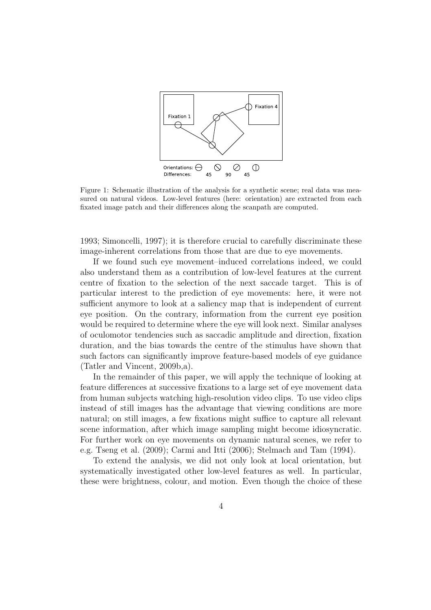

Figure 1: Schematic illustration of the analysis for a synthetic scene; real data was measured on natural videos. Low-level features (here: orientation) are extracted from each fixated image patch and their differences along the scanpath are computed.

1993; Simoncelli, 1997); it is therefore crucial to carefully discriminate these image-inherent correlations from those that are due to eye movements.

If we found such eye movement–induced correlations indeed, we could also understand them as a contribution of low-level features at the current centre of fixation to the selection of the next saccade target. This is of particular interest to the prediction of eye movements: here, it were not sufficient anymore to look at a saliency map that is independent of current eye position. On the contrary, information from the current eye position would be required to determine where the eye will look next. Similar analyses of oculomotor tendencies such as saccadic amplitude and direction, fixation duration, and the bias towards the centre of the stimulus have shown that such factors can significantly improve feature-based models of eye guidance (Tatler and Vincent, 2009b,a).

In the remainder of this paper, we will apply the technique of looking at feature differences at successive fixations to a large set of eye movement data from human subjects watching high-resolution video clips. To use video clips instead of still images has the advantage that viewing conditions are more natural; on still images, a few fixations might suffice to capture all relevant scene information, after which image sampling might become idiosyncratic. For further work on eye movements on dynamic natural scenes, we refer to e.g. Tseng et al. (2009); Carmi and Itti (2006); Stelmach and Tam (1994).

To extend the analysis, we did not only look at local orientation, but systematically investigated other low-level features as well. In particular, these were brightness, colour, and motion. Even though the choice of these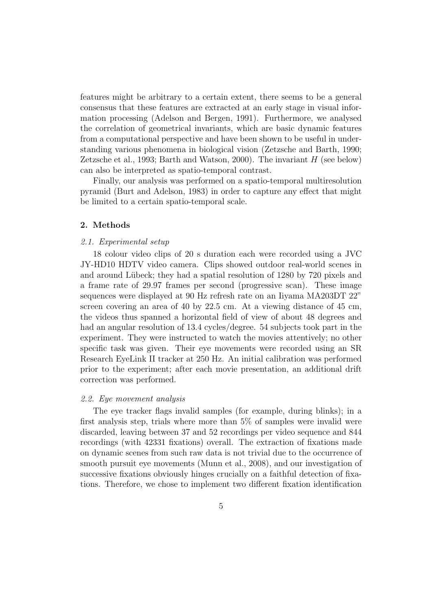features might be arbitrary to a certain extent, there seems to be a general consensus that these features are extracted at an early stage in visual information processing (Adelson and Bergen, 1991). Furthermore, we analysed the correlation of geometrical invariants, which are basic dynamic features from a computational perspective and have been shown to be useful in understanding various phenomena in biological vision (Zetzsche and Barth, 1990; Zetzsche et al., 1993; Barth and Watson, 2000). The invariant  $H$  (see below) can also be interpreted as spatio-temporal contrast.

Finally, our analysis was performed on a spatio-temporal multiresolution pyramid (Burt and Adelson, 1983) in order to capture any effect that might be limited to a certain spatio-temporal scale.

# 2. Methods

# *2.1. Experimental setup*

18 colour video clips of 20 s duration each were recorded using a JVC JY-HD10 HDTV video camera. Clips showed outdoor real-world scenes in and around Lübeck; they had a spatial resolution of 1280 by 720 pixels and a frame rate of 29.97 frames per second (progressive scan). These image sequences were displayed at 90 Hz refresh rate on an Iiyama MA203DT 22" screen covering an area of 40 by 22.5 cm. At a viewing distance of 45 cm, the videos thus spanned a horizontal field of view of about 48 degrees and had an angular resolution of 13.4 cycles/degree. 54 subjects took part in the experiment. They were instructed to watch the movies attentively; no other specific task was given. Their eye movements were recorded using an SR Research EyeLink II tracker at 250 Hz. An initial calibration was performed prior to the experiment; after each movie presentation, an additional drift correction was performed.

#### *2.2. Eye movement analysis*

The eye tracker flags invalid samples (for example, during blinks); in a first analysis step, trials where more than 5% of samples were invalid were discarded, leaving between 37 and 52 recordings per video sequence and 844 recordings (with 42331 fixations) overall. The extraction of fixations made on dynamic scenes from such raw data is not trivial due to the occurrence of smooth pursuit eye movements (Munn et al., 2008), and our investigation of successive fixations obviously hinges crucially on a faithful detection of fixations. Therefore, we chose to implement two different fixation identification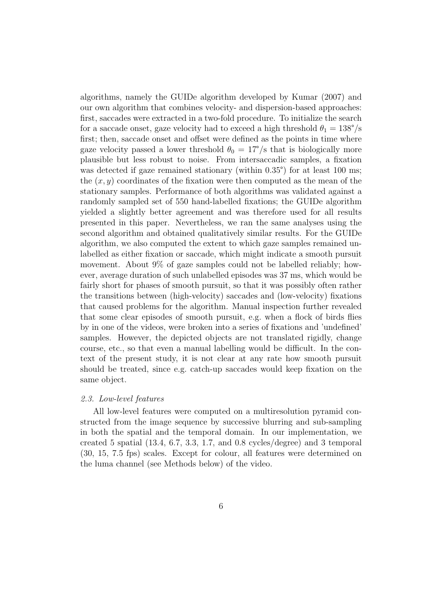algorithms, namely the GUIDe algorithm developed by Kumar (2007) and our own algorithm that combines velocity- and dispersion-based approaches: first, saccades were extracted in a two-fold procedure. To initialize the search for a saccade onset, gaze velocity had to exceed a high threshold  $\theta_1 = 138^{\circ}/s$ first; then, saccade onset and offset were defined as the points in time where gaze velocity passed a lower threshold  $\theta_0 = 17^{\circ}/s$  that is biologically more plausible but less robust to noise. From intersaccadic samples, a fixation was detected if gaze remained stationary (within 0.35<sup>°</sup>) for at least 100 ms; the  $(x, y)$  coordinates of the fixation were then computed as the mean of the stationary samples. Performance of both algorithms was validated against a randomly sampled set of 550 hand-labelled fixations; the GUIDe algorithm yielded a slightly better agreement and was therefore used for all results presented in this paper. Nevertheless, we ran the same analyses using the second algorithm and obtained qualitatively similar results. For the GUIDe algorithm, we also computed the extent to which gaze samples remained unlabelled as either fixation or saccade, which might indicate a smooth pursuit movement. About 9% of gaze samples could not be labelled reliably; however, average duration of such unlabelled episodes was 37 ms, which would be fairly short for phases of smooth pursuit, so that it was possibly often rather the transitions between (high-velocity) saccades and (low-velocity) fixations that caused problems for the algorithm. Manual inspection further revealed that some clear episodes of smooth pursuit, e.g. when a flock of birds flies by in one of the videos, were broken into a series of fixations and 'undefined' samples. However, the depicted objects are not translated rigidly, change course, etc., so that even a manual labelling would be difficult. In the context of the present study, it is not clear at any rate how smooth pursuit should be treated, since e.g. catch-up saccades would keep fixation on the same object.

# *2.3. Low-level features*

All low-level features were computed on a multiresolution pyramid constructed from the image sequence by successive blurring and sub-sampling in both the spatial and the temporal domain. In our implementation, we created 5 spatial (13.4, 6.7, 3.3, 1.7, and 0.8 cycles/degree) and 3 temporal (30, 15, 7.5 fps) scales. Except for colour, all features were determined on the luma channel (see Methods below) of the video.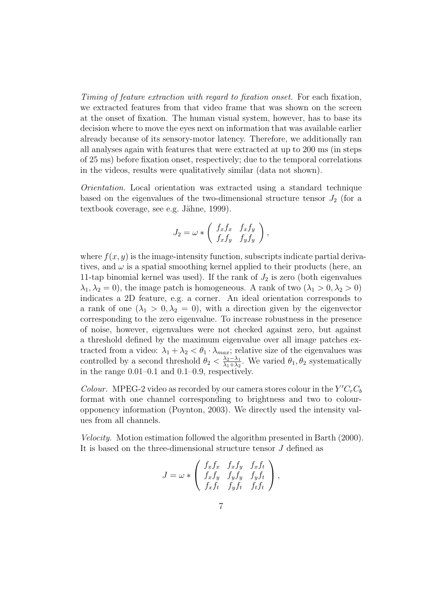*Timing of feature extraction with regard to fixation onset.* For each fixation, we extracted features from that video frame that was shown on the screen at the onset of fixation. The human visual system, however, has to base its decision where to move the eyes next on information that was available earlier already because of its sensory-motor latency. Therefore, we additionally ran all analyses again with features that were extracted at up to 200 ms (in steps of 25 ms) before fixation onset, respectively; due to the temporal correlations in the videos, results were qualitatively similar (data not shown).

*Orientation.* Local orientation was extracted using a standard technique based on the eigenvalues of the two-dimensional structure tensor  $J_2$  (for a textbook coverage, see e.g. Jähne, 1999).

$$
J_2 = \omega * \left( \begin{array}{cc} f_x f_x & f_x f_y \\ f_x f_y & f_y f_y \end{array} \right),
$$

where  $f(x, y)$  is the image-intensity function, subscripts indicate partial derivatives, and  $\omega$  is a spatial smoothing kernel applied to their products (here, an 11-tap binomial kernel was used). If the rank of  $J_2$  is zero (both eigenvalues  $\lambda_1, \lambda_2 = 0$ , the image patch is homogeneous. A rank of two  $(\lambda_1 > 0, \lambda_2 > 0)$ indicates a 2D feature, e.g. a corner. An ideal orientation corresponds to a rank of one  $(\lambda_1 > 0, \lambda_2 = 0)$ , with a direction given by the eigenvector corresponding to the zero eigenvalue. To increase robustness in the presence of noise, however, eigenvalues were not checked against zero, but against a threshold defined by the maximum eigenvalue over all image patches extracted from a video:  $\lambda_1 + \lambda_2 < \theta_1 \cdot \lambda_{max}$ ; relative size of the eigenvalues was controlled by a second threshold  $\theta_2 < \frac{\lambda_2 - \lambda_1}{\lambda_1 + \lambda_2}$  $\frac{\lambda_2 - \lambda_1}{\lambda_1 + \lambda_2}$ . We varied  $\theta_1, \theta_2$  systematically in the range 0.01–0.1 and 0.1–0.9, respectively.

*Colour.* MPEG-2 video as recorded by our camera stores colour in the  $Y'C<sub>r</sub>C<sub>b</sub>$ format with one channel corresponding to brightness and two to colouropponency information (Poynton, 2003). We directly used the intensity values from all channels.

*Velocity.* Motion estimation followed the algorithm presented in Barth (2000). It is based on the three-dimensional structure tensor J defined as

$$
J = \omega * \begin{pmatrix} f_x f_x & f_x f_y & f_x f_t \\ f_x f_y & f_y f_y & f_y f_t \\ f_x f_t & f_y f_t & f_t f_t \end{pmatrix},
$$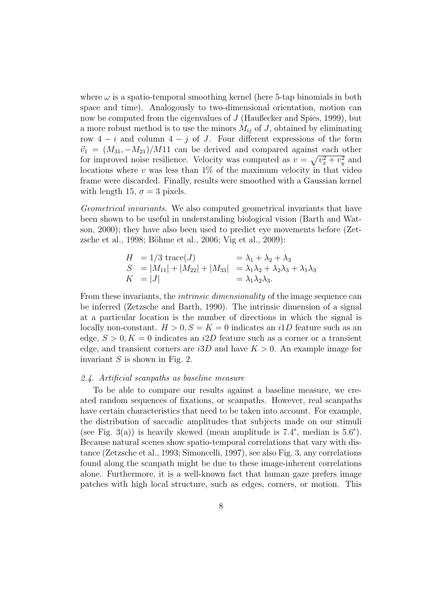where  $\omega$  is a spatio-temporal smoothing kernel (here 5-tap binomials in both space and time). Analogously to two-dimensional orientation, motion can now be computed from the eigenvalues of J (Haußecker and Spies, 1999), but a more robust method is to use the minors  $M_{ij}$  of J, obtained by eliminating row  $4 - i$  and column  $4 - j$  of J. Four different expressions of the form  $\vec{v}_1 = (M_{31}, -M_{21})/M_{11}$  can be derived and compared against each other for improved noise resilience. Velocity was computed as  $v = \sqrt{v_x^2 + v_y^2}$  and locations where  $v$  was less than  $1\%$  of the maximum velocity in that video frame were discarded. Finally, results were smoothed with a Gaussian kernel with length 15,  $\sigma = 3$  pixels.

*Geometrical invariants.* We also computed geometrical invariants that have been shown to be useful in understanding biological vision (Barth and Watson, 2000); they have also been used to predict eye movements before (Zetzsche et al., 1998; Böhme et al., 2006; Vig et al., 2009):

$$
H = 1/3 \operatorname{trace}(J) = \lambda_1 + \lambda_2 + \lambda_3
$$
  
\n
$$
S = |M_{11}| + |M_{22}| + |M_{33}| = \lambda_1 \lambda_2 + \lambda_2 \lambda_3 + \lambda_1 \lambda_3
$$
  
\n
$$
K = |J| = \lambda_1 \lambda_2 \lambda_3.
$$

From these invariants, the *intrinsic dimensionality* of the image sequence can be inferred (Zetzsche and Barth, 1990). The intrinsic dimension of a signal at a particular location is the number of directions in which the signal is locally non-constant.  $H > 0, S = K = 0$  indicates an il D feature such as an edge,  $S > 0, K = 0$  indicates an i2D feature such as a corner or a transient edge, and transient corners are  $i3D$  and have  $K > 0$ . An example image for invariant  $S$  is shown in Fig. 2.

#### *2.4. Artificial scanpaths as baseline measure*

To be able to compare our results against a baseline measure, we created random sequences of fixations, or scanpaths. However, real scanpaths have certain characteristics that need to be taken into account. For example, the distribution of saccadic amplitudes that subjects made on our stimuli (see Fig. 3(a)) is heavily skewed (mean amplitude is  $7.4^{\circ}$ , median is  $5.6^{\circ}$ ). Because natural scenes show spatio-temporal correlations that vary with distance (Zetzsche et al., 1993; Simoncelli, 1997), see also Fig. 3, any correlations found along the scanpath might be due to these image-inherent correlations alone. Furthermore, it is a well-known fact that human gaze prefers image patches with high local structure, such as edges, corners, or motion. This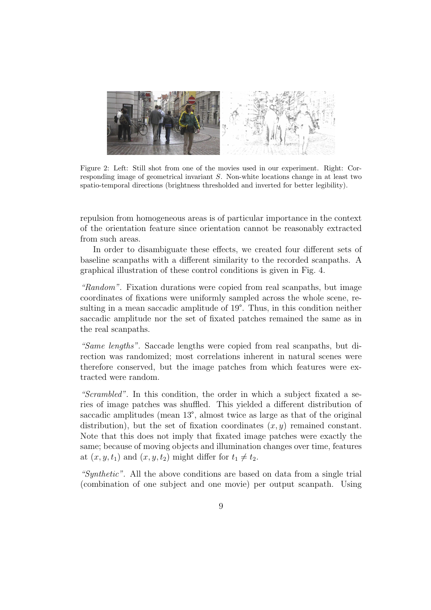

Figure 2: Left: Still shot from one of the movies used in our experiment. Right: Corresponding image of geometrical invariant S. Non-white locations change in at least two spatio-temporal directions (brightness thresholded and inverted for better legibility).

repulsion from homogeneous areas is of particular importance in the context of the orientation feature since orientation cannot be reasonably extracted from such areas.

In order to disambiguate these effects, we created four different sets of baseline scanpaths with a different similarity to the recorded scanpaths. A graphical illustration of these control conditions is given in Fig. 4.

*"Random".* Fixation durations were copied from real scanpaths, but image coordinates of fixations were uniformly sampled across the whole scene, resulting in a mean saccadic amplitude of 19°. Thus, in this condition neither saccadic amplitude nor the set of fixated patches remained the same as in the real scanpaths.

*"Same lengths".* Saccade lengths were copied from real scanpaths, but direction was randomized; most correlations inherent in natural scenes were therefore conserved, but the image patches from which features were extracted were random.

*"Scrambled".* In this condition, the order in which a subject fixated a series of image patches was shuffled. This yielded a different distribution of saccadic amplitudes (mean 13°, almost twice as large as that of the original distribution), but the set of fixation coordinates  $(x, y)$  remained constant. Note that this does not imply that fixated image patches were exactly the same; because of moving objects and illumination changes over time, features at  $(x, y, t_1)$  and  $(x, y, t_2)$  might differ for  $t_1 \neq t_2$ .

*"Synthetic".* All the above conditions are based on data from a single trial (combination of one subject and one movie) per output scanpath. Using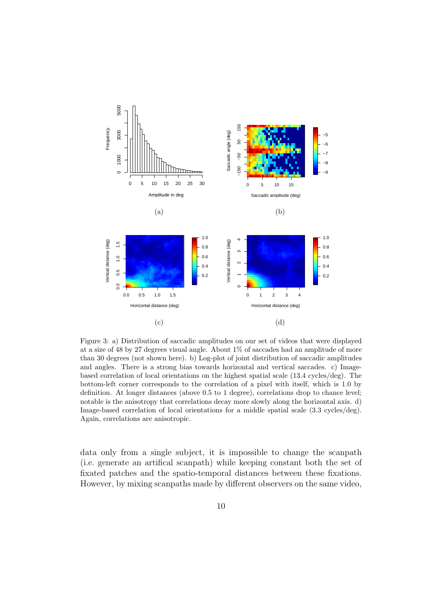

Figure 3: a) Distribution of saccadic amplitudes on our set of videos that were displayed at a size of 48 by 27 degrees visual angle. About 1% of saccades had an amplitude of more than 30 degrees (not shown here). b) Log-plot of joint distribution of saccadic amplitudes and angles. There is a strong bias towards horizontal and vertical saccades. c) Imagebased correlation of local orientations on the highest spatial scale (13.4 cycles/deg). The bottom-left corner corresponds to the correlation of a pixel with itself, which is 1.0 by definition. At longer distances (above 0.5 to 1 degree), correlations drop to chance level; notable is the anisotropy that correlations decay more slowly along the horizontal axis. d) Image-based correlation of local orientations for a middle spatial scale (3.3 cycles/deg). Again, correlations are anisotropic.

data only from a single subject, it is impossible to change the scanpath (i.e. generate an artifical scanpath) while keeping constant both the set of fixated patches and the spatio-temporal distances between these fixations. However, by mixing scanpaths made by different observers on the same video,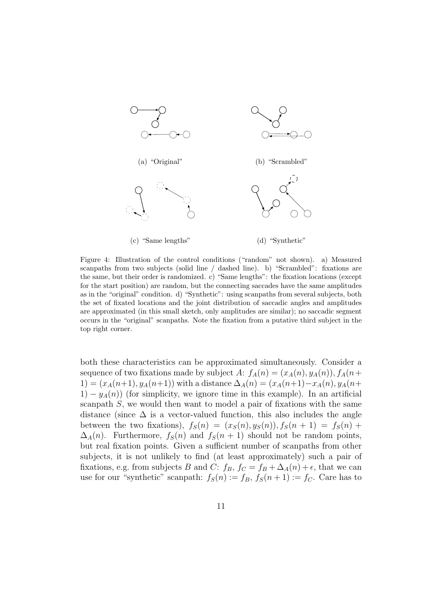

Figure 4: Illustration of the control conditions ("random" not shown). a) Measured scanpaths from two subjects (solid line / dashed line). b) "Scrambled": fixations are the same, but their order is randomized. c) "Same lengths": the fixation locations (except for the start position) are random, but the connecting saccades have the same amplitudes as in the "original" condition. d) "Synthetic": using scanpaths from several subjects, both the set of fixated locations and the joint distribution of saccadic angles and amplitudes are approximated (in this small sketch, only amplitudes are similar); no saccadic segment occurs in the "original" scanpaths. Note the fixation from a putative third subject in the top right corner.

both these characteristics can be approximated simultaneously. Consider a sequence of two fixations made by subject A:  $f_A(n) = (x_A(n), y_A(n)), f_A(n+$  $1) = (x_A(n+1), y_A(n+1))$  with a distance  $\Delta_A(n) = (x_A(n+1)-x_A(n), y_A(n+1))$  $1) - y<sub>A</sub>(n)$  (for simplicity, we ignore time in this example). In an artificial scanpath  $S$ , we would then want to model a pair of fixations with the same distance (since  $\Delta$  is a vector-valued function, this also includes the angle between the two fixations),  $f_S(n) = (x_S(n), y_S(n)), f_S(n+1) = f_S(n) +$  $\Delta_A(n)$ . Furthermore,  $f_S(n)$  and  $f_S(n + 1)$  should not be random points, but real fixation points. Given a sufficient number of scanpaths from other subjects, it is not unlikely to find (at least approximately) such a pair of fixations, e.g. from subjects B and C:  $f_B$ ,  $f_C = f_B + \Delta_A(n) + \epsilon$ , that we can use for our "synthetic" scanpath:  $f_S(n) := f_B$ ,  $f_S(n+1) := f_C$ . Care has to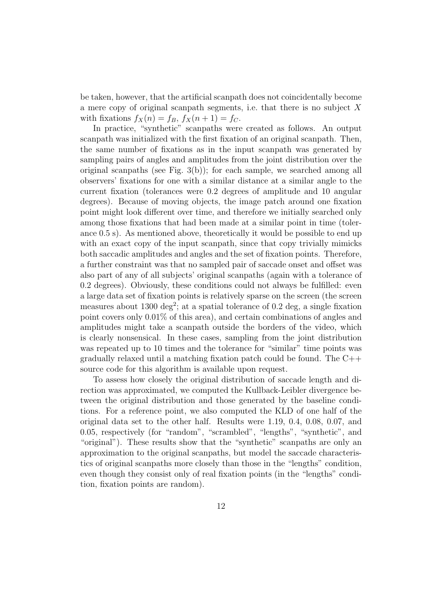be taken, however, that the artificial scanpath does not coincidentally become a mere copy of original scanpath segments, i.e. that there is no subject X with fixations  $f_X(n) = f_B$ ,  $f_X(n+1) = f_C$ .

In practice, "synthetic" scanpaths were created as follows. An output scanpath was initialized with the first fixation of an original scanpath. Then, the same number of fixations as in the input scanpath was generated by sampling pairs of angles and amplitudes from the joint distribution over the original scanpaths (see Fig.  $3(b)$ ); for each sample, we searched among all observers' fixations for one with a similar distance at a similar angle to the current fixation (tolerances were 0.2 degrees of amplitude and 10 angular degrees). Because of moving objects, the image patch around one fixation point might look different over time, and therefore we initially searched only among those fixations that had been made at a similar point in time (tolerance 0.5 s). As mentioned above, theoretically it would be possible to end up with an exact copy of the input scanpath, since that copy trivially mimicks both saccadic amplitudes and angles and the set of fixation points. Therefore, a further constraint was that no sampled pair of saccade onset and offset was also part of any of all subjects' original scanpaths (again with a tolerance of 0.2 degrees). Obviously, these conditions could not always be fulfilled: even a large data set of fixation points is relatively sparse on the screen (the screen measures about 1300 deg<sup>2</sup>; at a spatial tolerance of 0.2 deg, a single fixation point covers only 0.01% of this area), and certain combinations of angles and amplitudes might take a scanpath outside the borders of the video, which is clearly nonsensical. In these cases, sampling from the joint distribution was repeated up to 10 times and the tolerance for "similar" time points was gradually relaxed until a matching fixation patch could be found. The C++ source code for this algorithm is available upon request.

To assess how closely the original distribution of saccade length and direction was approximated, we computed the Kullback-Leibler divergence between the original distribution and those generated by the baseline conditions. For a reference point, we also computed the KLD of one half of the original data set to the other half. Results were 1.19, 0.4, 0.08, 0.07, and 0.05, respectively (for "random", "scrambled", "lengths", "synthetic", and "original"). These results show that the "synthetic" scanpaths are only an approximation to the original scanpaths, but model the saccade characteristics of original scanpaths more closely than those in the "lengths" condition, even though they consist only of real fixation points (in the "lengths" condition, fixation points are random).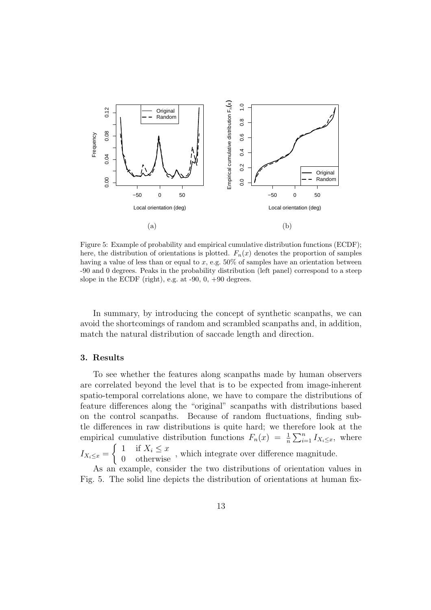

Figure 5: Example of probability and empirical cumulative distribution functions (ECDF); here, the distribution of orientations is plotted.  $F_n(x)$  denotes the proportion of samples having a value of less than or equal to x, e.g. 50% of samples have an orientation between -90 and 0 degrees. Peaks in the probability distribution (left panel) correspond to a steep slope in the ECDF (right), e.g. at  $-90$ , 0,  $+90$  degrees.

In summary, by introducing the concept of synthetic scanpaths, we can avoid the shortcomings of random and scrambled scanpaths and, in addition, match the natural distribution of saccade length and direction.

#### 3. Results

To see whether the features along scanpaths made by human observers are correlated beyond the level that is to be expected from image-inherent spatio-temporal correlations alone, we have to compare the distributions of feature differences along the "original" scanpaths with distributions based on the control scanpaths. Because of random fluctuations, finding subtle differences in raw distributions is quite hard; we therefore look at the empirical cumulative distribution functions  $F_n(x) = \frac{1}{n} \sum_{i=1}^n I_{X_i \leq x}$ , where  $I_{X_i\leq x} =$  $\begin{cases} 1 & \text{if } X_i \leq x \\ 0 & \text{otherwise} \end{cases}$ , which integrate over difference magnitude.

As an example, consider the two distributions of orientation values in Fig. 5. The solid line depicts the distribution of orientations at human fix-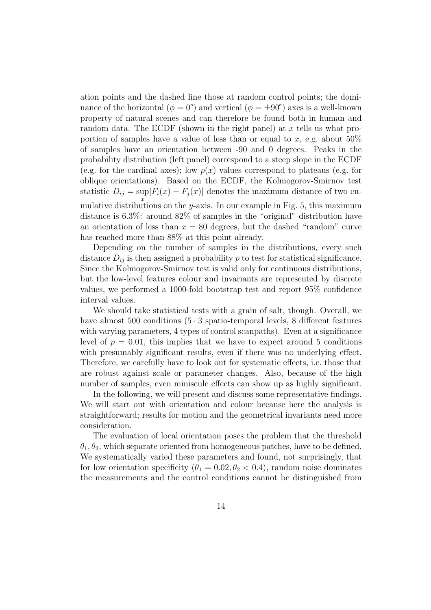ation points and the dashed line those at random control points; the dominance of the horizontal  $(\phi = 0^{\degree})$  and vertical  $(\phi = \pm 90^{\degree})$  axes is a well-known property of natural scenes and can therefore be found both in human and random data. The ECDF (shown in the right panel) at  $x$  tells us what proportion of samples have a value of less than or equal to x, e.g. about  $50\%$ of samples have an orientation between -90 and 0 degrees. Peaks in the probability distribution (left panel) correspond to a steep slope in the ECDF (e.g. for the cardinal axes); low  $p(x)$  values correspond to plateaus (e.g. for oblique orientations). Based on the ECDF, the Kolmogorov-Smirnov test statistic  $D_{ij} = \sup |F_i(x) - F_j(x)|$  denotes the maximum distance of two cumulative distributions on the y-axis. In our example in Fig. 5, this maximum distance is 6.3%: around 82% of samples in the "original" distribution have an orientation of less than  $x = 80$  degrees, but the dashed "random" curve has reached more than  $88\%$  at this point already.

Depending on the number of samples in the distributions, every such distance  $D_{ij}$  is then assigned a probability p to test for statistical significance. Since the Kolmogorov-Smirnov test is valid only for continuous distributions, but the low-level features colour and invariants are represented by discrete values, we performed a 1000-fold bootstrap test and report 95% confidence interval values.

We should take statistical tests with a grain of salt, though. Overall, we have almost 500 conditions  $(5 \cdot 3 \text{ spatio-temporal levels}, 8 \text{ different features})$ with varying parameters, 4 types of control scanpaths). Even at a significance level of  $p = 0.01$ , this implies that we have to expect around 5 conditions with presumably significant results, even if there was no underlying effect. Therefore, we carefully have to look out for systematic effects, i.e. those that are robust against scale or parameter changes. Also, because of the high number of samples, even miniscule effects can show up as highly significant.

In the following, we will present and discuss some representative findings. We will start out with orientation and colour because here the analysis is straightforward; results for motion and the geometrical invariants need more consideration.

The evaluation of local orientation poses the problem that the threshold  $\theta_1, \theta_2$ , which separate oriented from homogeneous patches, have to be defined. We systematically varied these parameters and found, not surprisingly, that for low orientation specificity ( $\theta_1 = 0.02, \theta_2 < 0.4$ ), random noise dominates the measurements and the control conditions cannot be distinguished from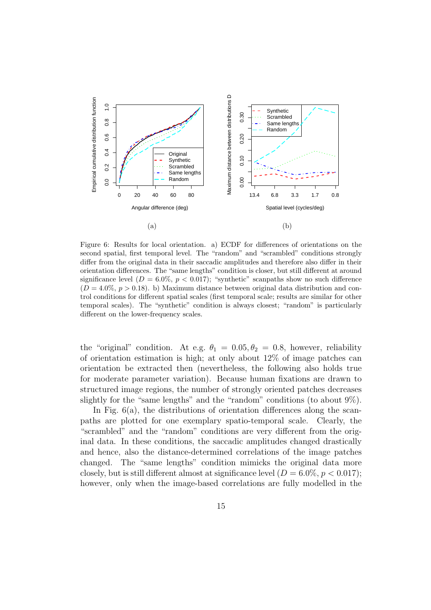

Figure 6: Results for local orientation. a) ECDF for differences of orientations on the second spatial, first temporal level. The "random" and "scrambled" conditions strongly differ from the original data in their saccadic amplitudes and therefore also differ in their orientation differences. The "same lengths" condition is closer, but still different at around significance level  $(D = 6.0\%, p < 0.017)$ ; "synthetic" scanpaths show no such difference  $(D = 4.0\%, p > 0.18)$ . b) Maximum distance between original data distribution and control conditions for different spatial scales (first temporal scale; results are similar for other temporal scales). The "synthetic" condition is always closest; "random" is particularly different on the lower-frequency scales.

the "original" condition. At e.g.  $\theta_1 = 0.05, \theta_2 = 0.8$ , however, reliability of orientation estimation is high; at only about  $12\%$  of image patches can orientation be extracted then (nevertheless, the following also holds true for moderate parameter variation). Because human fixations are drawn to structured image regions, the number of strongly oriented patches decreases slightly for the "same lengths" and the "random" conditions (to about 9%).

In Fig.  $6(a)$ , the distributions of orientation differences along the scanpaths are plotted for one exemplary spatio-temporal scale. Clearly, the "scrambled" and the "random" conditions are very different from the original data. In these conditions, the saccadic amplitudes changed drastically and hence, also the distance-determined correlations of the image patches changed. The "same lengths" condition mimicks the original data more closely, but is still different almost at significance level  $(D = 6.0\%, p < 0.017)$ ; however, only when the image-based correlations are fully modelled in the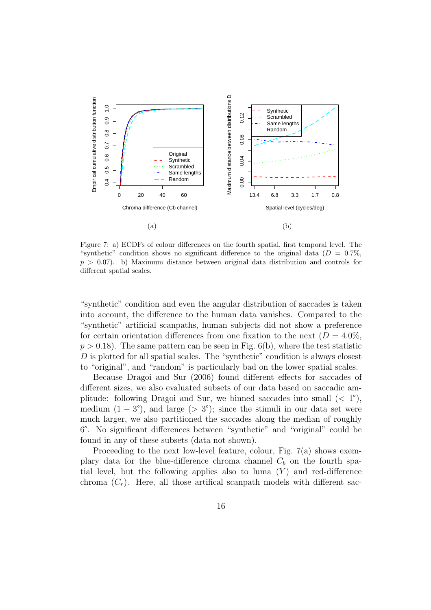

Figure 7: a) ECDFs of colour differences on the fourth spatial, first temporal level. The "synthetic" condition shows no significant difference to the original data ( $D = 0.7\%$ ,  $p > 0.07$ . b) Maximum distance between original data distribution and controls for different spatial scales.

"synthetic" condition and even the angular distribution of saccades is taken into account, the difference to the human data vanishes. Compared to the "synthetic" artificial scanpaths, human subjects did not show a preference for certain orientation differences from one fixation to the next  $(D = 4.0\%,$  $p > 0.18$ ). The same pattern can be seen in Fig. 6(b), where the test statistic D is plotted for all spatial scales. The "synthetic" condition is always closest to "original", and "random" is particularly bad on the lower spatial scales.

Because Dragoi and Sur (2006) found different effects for saccades of different sizes, we also evaluated subsets of our data based on saccadic amplitude: following Dragoi and Sur, we binned saccades into small  $(< 1^{\circ})$ , medium  $(1 - 3^{\circ})$ , and large  $(> 3^{\circ})$ ; since the stimuli in our data set were much larger, we also partitioned the saccades along the median of roughly 6°. No significant differences between "synthetic" and "original" could be found in any of these subsets (data not shown).

Proceeding to the next low-level feature, colour, Fig. 7(a) shows exemplary data for the blue-difference chroma channel  $C_b$  on the fourth spatial level, but the following applies also to luma  $(Y)$  and red-difference chroma  $(C_r)$ . Here, all those artifical scanpath models with different sac-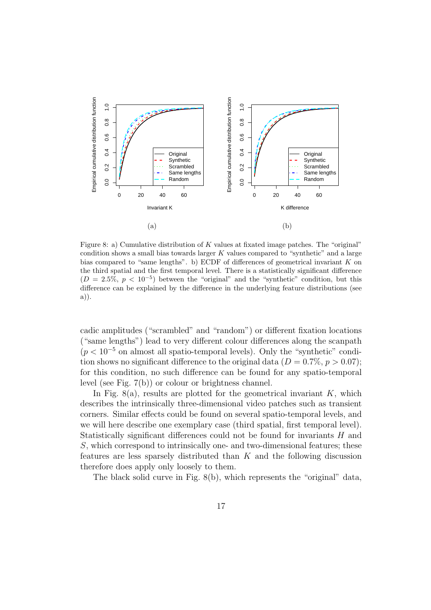

Figure 8: a) Cumulative distribution of K values at fixated image patches. The "original" condition shows a small bias towards larger  $K$  values compared to "synthetic" and a large bias compared to "same lengths". b) ECDF of differences of geometrical invariant K on the third spatial and the first temporal level. There is a statistically significant difference  $(D = 2.5\%, p < 10^{-5})$  between the "original" and the "synthetic" condition, but this difference can be explained by the difference in the underlying feature distributions (see a)).

cadic amplitudes ("scrambled" and "random") or different fixation locations ("same lengths") lead to very different colour differences along the scanpath  $(p < 10^{-5}$  on almost all spatio-temporal levels). Only the "synthetic" condition shows no significant difference to the original data  $(D = 0.7\%, p > 0.07)$ ; for this condition, no such difference can be found for any spatio-temporal level (see Fig. 7(b)) or colour or brightness channel.

In Fig.  $8(a)$ , results are plotted for the geometrical invariant K, which describes the intrinsically three-dimensional video patches such as transient corners. Similar effects could be found on several spatio-temporal levels, and we will here describe one exemplary case (third spatial, first temporal level). Statistically significant differences could not be found for invariants H and S, which correspond to intrinsically one- and two-dimensional features; these features are less sparsely distributed than  $K$  and the following discussion therefore does apply only loosely to them.

The black solid curve in Fig. 8(b), which represents the "original" data,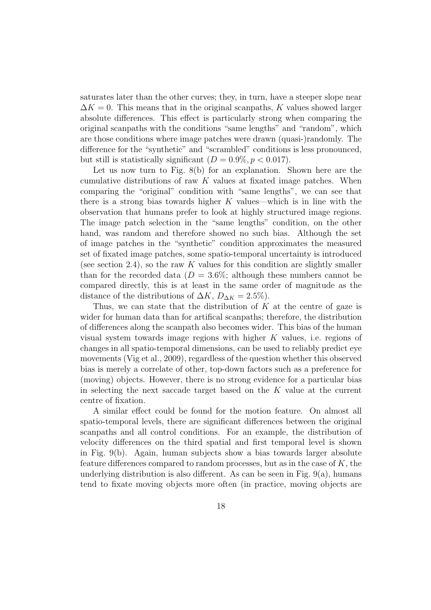saturates later than the other curves; they, in turn, have a steeper slope near  $\Delta K = 0$ . This means that in the original scanpaths, K values showed larger absolute differences. This effect is particularly strong when comparing the original scanpaths with the conditions "same lengths" and "random", which are those conditions where image patches were drawn (quasi-)randomly. The difference for the "synthetic" and "scrambled" conditions is less pronounced, but still is statistically significant  $(D = 0.9\%, p < 0.017)$ .

Let us now turn to Fig. 8(b) for an explanation. Shown here are the cumulative distributions of raw  $K$  values at fixated image patches. When comparing the "original" condition with "same lengths", we can see that there is a strong bias towards higher  $K$  values—which is in line with the observation that humans prefer to look at highly structured image regions. The image patch selection in the "same lengths" condition, on the other hand, was random and therefore showed no such bias. Although the set of image patches in the "synthetic" condition approximates the measured set of fixated image patches, some spatio-temporal uncertainty is introduced (see section 2.4), so the raw  $K$  values for this condition are slightly smaller than for the recorded data  $(D = 3.6\%;$  although these numbers cannot be compared directly, this is at least in the same order of magnitude as the distance of the distributions of  $\Delta K$ ,  $D_{\Delta K} = 2.5\%$ ).

Thus, we can state that the distribution of  $K$  at the centre of gaze is wider for human data than for artifical scanpaths; therefore, the distribution of differences along the scanpath also becomes wider. This bias of the human visual system towards image regions with higher K values, i.e. regions of changes in all spatio-temporal dimensions, can be used to reliably predict eye movements (Vig et al., 2009), regardless of the question whether this observed bias is merely a correlate of other, top-down factors such as a preference for (moving) objects. However, there is no strong evidence for a particular bias in selecting the next saccade target based on the  $K$  value at the current centre of fixation.

A similar effect could be found for the motion feature. On almost all spatio-temporal levels, there are significant differences between the original scanpaths and all control conditions. For an example, the distribution of velocity differences on the third spatial and first temporal level is shown in Fig. 9(b). Again, human subjects show a bias towards larger absolute feature differences compared to random processes, but as in the case of  $K$ , the underlying distribution is also different. As can be seen in Fig. 9(a), humans tend to fixate moving objects more often (in practice, moving objects are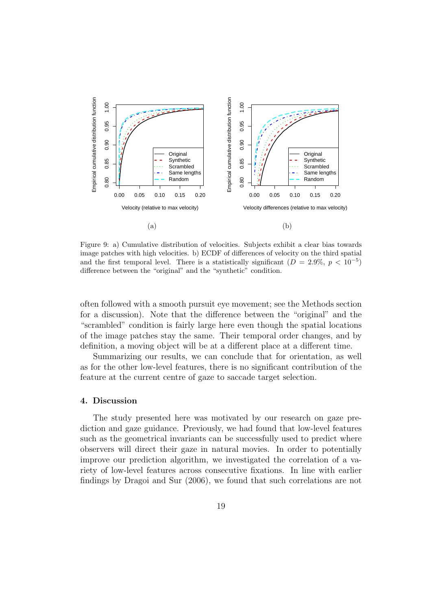

Figure 9: a) Cumulative distribution of velocities. Subjects exhibit a clear bias towards image patches with high velocities. b) ECDF of differences of velocity on the third spatial and the first temporal level. There is a statistically significant  $(D = 2.9\%, p < 10^{-5})$ difference between the "original" and the "synthetic" condition.

often followed with a smooth pursuit eye movement; see the Methods section for a discussion). Note that the difference between the "original" and the "scrambled" condition is fairly large here even though the spatial locations of the image patches stay the same. Their temporal order changes, and by definition, a moving object will be at a different place at a different time.

Summarizing our results, we can conclude that for orientation, as well as for the other low-level features, there is no significant contribution of the feature at the current centre of gaze to saccade target selection.

# 4. Discussion

The study presented here was motivated by our research on gaze prediction and gaze guidance. Previously, we had found that low-level features such as the geometrical invariants can be successfully used to predict where observers will direct their gaze in natural movies. In order to potentially improve our prediction algorithm, we investigated the correlation of a variety of low-level features across consecutive fixations. In line with earlier findings by Dragoi and Sur (2006), we found that such correlations are not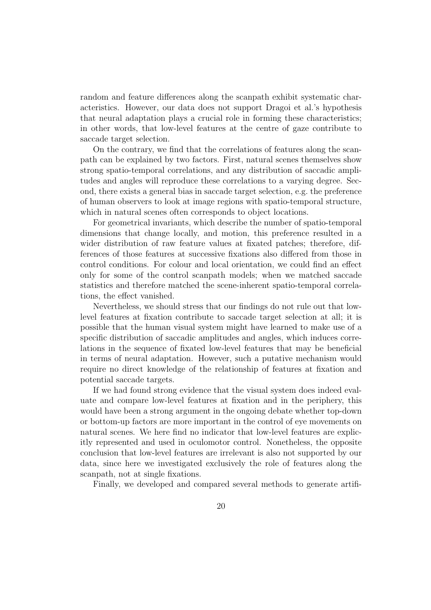random and feature differences along the scanpath exhibit systematic characteristics. However, our data does not support Dragoi et al.'s hypothesis that neural adaptation plays a crucial role in forming these characteristics; in other words, that low-level features at the centre of gaze contribute to saccade target selection.

On the contrary, we find that the correlations of features along the scanpath can be explained by two factors. First, natural scenes themselves show strong spatio-temporal correlations, and any distribution of saccadic amplitudes and angles will reproduce these correlations to a varying degree. Second, there exists a general bias in saccade target selection, e.g. the preference of human observers to look at image regions with spatio-temporal structure, which in natural scenes often corresponds to object locations.

For geometrical invariants, which describe the number of spatio-temporal dimensions that change locally, and motion, this preference resulted in a wider distribution of raw feature values at fixated patches; therefore, differences of those features at successive fixations also differed from those in control conditions. For colour and local orientation, we could find an effect only for some of the control scanpath models; when we matched saccade statistics and therefore matched the scene-inherent spatio-temporal correlations, the effect vanished.

Nevertheless, we should stress that our findings do not rule out that lowlevel features at fixation contribute to saccade target selection at all; it is possible that the human visual system might have learned to make use of a specific distribution of saccadic amplitudes and angles, which induces correlations in the sequence of fixated low-level features that may be beneficial in terms of neural adaptation. However, such a putative mechanism would require no direct knowledge of the relationship of features at fixation and potential saccade targets.

If we had found strong evidence that the visual system does indeed evaluate and compare low-level features at fixation and in the periphery, this would have been a strong argument in the ongoing debate whether top-down or bottom-up factors are more important in the control of eye movements on natural scenes. We here find no indicator that low-level features are explicitly represented and used in oculomotor control. Nonetheless, the opposite conclusion that low-level features are irrelevant is also not supported by our data, since here we investigated exclusively the role of features along the scanpath, not at single fixations.

Finally, we developed and compared several methods to generate artifi-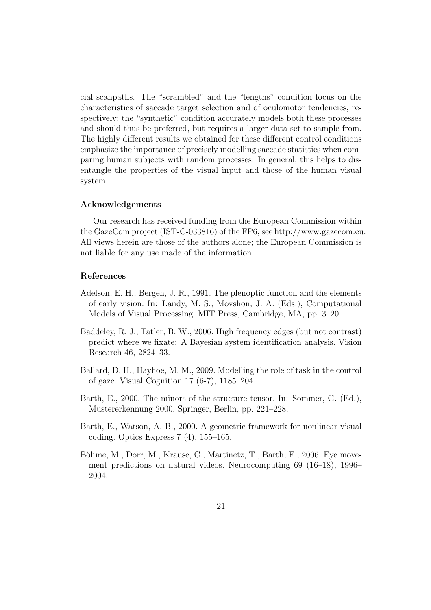cial scanpaths. The "scrambled" and the "lengths" condition focus on the characteristics of saccade target selection and of oculomotor tendencies, respectively; the "synthetic" condition accurately models both these processes and should thus be preferred, but requires a larger data set to sample from. The highly different results we obtained for these different control conditions emphasize the importance of precisely modelling saccade statistics when comparing human subjects with random processes. In general, this helps to disentangle the properties of the visual input and those of the human visual system.

# Acknowledgements

Our research has received funding from the European Commission within the GazeCom project (IST-C-033816) of the FP6, see http://www.gazecom.eu. All views herein are those of the authors alone; the European Commission is not liable for any use made of the information.

# References

- Adelson, E. H., Bergen, J. R., 1991. The plenoptic function and the elements of early vision. In: Landy, M. S., Movshon, J. A. (Eds.), Computational Models of Visual Processing. MIT Press, Cambridge, MA, pp. 3–20.
- Baddeley, R. J., Tatler, B. W., 2006. High frequency edges (but not contrast) predict where we fixate: A Bayesian system identification analysis. Vision Research 46, 2824–33.
- Ballard, D. H., Hayhoe, M. M., 2009. Modelling the role of task in the control of gaze. Visual Cognition 17 (6-7), 1185–204.
- Barth, E., 2000. The minors of the structure tensor. In: Sommer, G. (Ed.), Mustererkennung 2000. Springer, Berlin, pp. 221–228.
- Barth, E., Watson, A. B., 2000. A geometric framework for nonlinear visual coding. Optics Express 7 (4), 155–165.
- Böhme, M., Dorr, M., Krause, C., Martinetz, T., Barth, E., 2006. Eye movement predictions on natural videos. Neurocomputing 69 (16–18), 1996– 2004.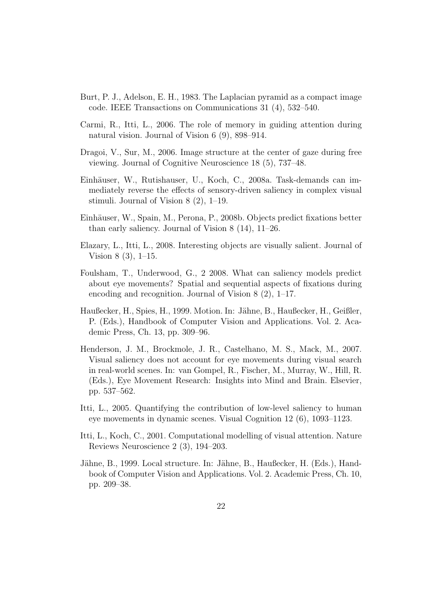- Burt, P. J., Adelson, E. H., 1983. The Laplacian pyramid as a compact image code. IEEE Transactions on Communications 31 (4), 532–540.
- Carmi, R., Itti, L., 2006. The role of memory in guiding attention during natural vision. Journal of Vision 6 (9), 898–914.
- Dragoi, V., Sur, M., 2006. Image structure at the center of gaze during free viewing. Journal of Cognitive Neuroscience 18 (5), 737–48.
- Einhäuser, W., Rutishauser, U., Koch, C., 2008a. Task-demands can immediately reverse the effects of sensory-driven saliency in complex visual stimuli. Journal of Vision 8 (2), 1–19.
- Einhäuser, W., Spain, M., Perona, P., 2008b. Objects predict fixations better than early saliency. Journal of Vision 8 (14), 11–26.
- Elazary, L., Itti, L., 2008. Interesting objects are visually salient. Journal of Vision 8 (3), 1–15.
- Foulsham, T., Underwood, G., 2 2008. What can saliency models predict about eye movements? Spatial and sequential aspects of fixations during encoding and recognition. Journal of Vision 8 (2), 1–17.
- Haußecker, H., Spies, H., 1999. Motion. In: Jähne, B., Haußecker, H., Geißler, P. (Eds.), Handbook of Computer Vision and Applications. Vol. 2. Academic Press, Ch. 13, pp. 309–96.
- Henderson, J. M., Brockmole, J. R., Castelhano, M. S., Mack, M., 2007. Visual saliency does not account for eye movements during visual search in real-world scenes. In: van Gompel, R., Fischer, M., Murray, W., Hill, R. (Eds.), Eye Movement Research: Insights into Mind and Brain. Elsevier, pp. 537–562.
- Itti, L., 2005. Quantifying the contribution of low-level saliency to human eye movements in dynamic scenes. Visual Cognition 12 (6), 1093–1123.
- Itti, L., Koch, C., 2001. Computational modelling of visual attention. Nature Reviews Neuroscience 2 (3), 194–203.
- Jähne, B., 1999. Local structure. In: Jähne, B., Haußecker, H. (Eds.), Handbook of Computer Vision and Applications. Vol. 2. Academic Press, Ch. 10, pp. 209–38.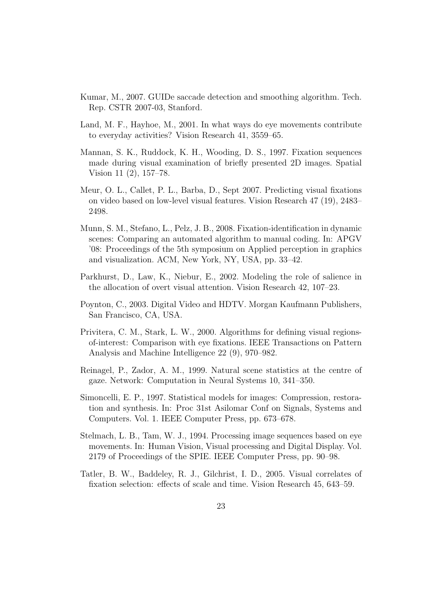- Kumar, M., 2007. GUIDe saccade detection and smoothing algorithm. Tech. Rep. CSTR 2007-03, Stanford.
- Land, M. F., Hayhoe, M., 2001. In what ways do eye movements contribute to everyday activities? Vision Research 41, 3559–65.
- Mannan, S. K., Ruddock, K. H., Wooding, D. S., 1997. Fixation sequences made during visual examination of briefly presented 2D images. Spatial Vision 11 (2), 157–78.
- Meur, O. L., Callet, P. L., Barba, D., Sept 2007. Predicting visual fixations on video based on low-level visual features. Vision Research 47 (19), 2483– 2498.
- Munn, S. M., Stefano, L., Pelz, J. B., 2008. Fixation-identification in dynamic scenes: Comparing an automated algorithm to manual coding. In: APGV '08: Proceedings of the 5th symposium on Applied perception in graphics and visualization. ACM, New York, NY, USA, pp. 33–42.
- Parkhurst, D., Law, K., Niebur, E., 2002. Modeling the role of salience in the allocation of overt visual attention. Vision Research 42, 107–23.
- Poynton, C., 2003. Digital Video and HDTV. Morgan Kaufmann Publishers, San Francisco, CA, USA.
- Privitera, C. M., Stark, L. W., 2000. Algorithms for defining visual regionsof-interest: Comparison with eye fixations. IEEE Transactions on Pattern Analysis and Machine Intelligence 22 (9), 970–982.
- Reinagel, P., Zador, A. M., 1999. Natural scene statistics at the centre of gaze. Network: Computation in Neural Systems 10, 341–350.
- Simoncelli, E. P., 1997. Statistical models for images: Compression, restoration and synthesis. In: Proc 31st Asilomar Conf on Signals, Systems and Computers. Vol. 1. IEEE Computer Press, pp. 673–678.
- Stelmach, L. B., Tam, W. J., 1994. Processing image sequences based on eye movements. In: Human Vision, Visual processing and Digital Display. Vol. 2179 of Proceedings of the SPIE. IEEE Computer Press, pp. 90–98.
- Tatler, B. W., Baddeley, R. J., Gilchrist, I. D., 2005. Visual correlates of fixation selection: effects of scale and time. Vision Research 45, 643–59.